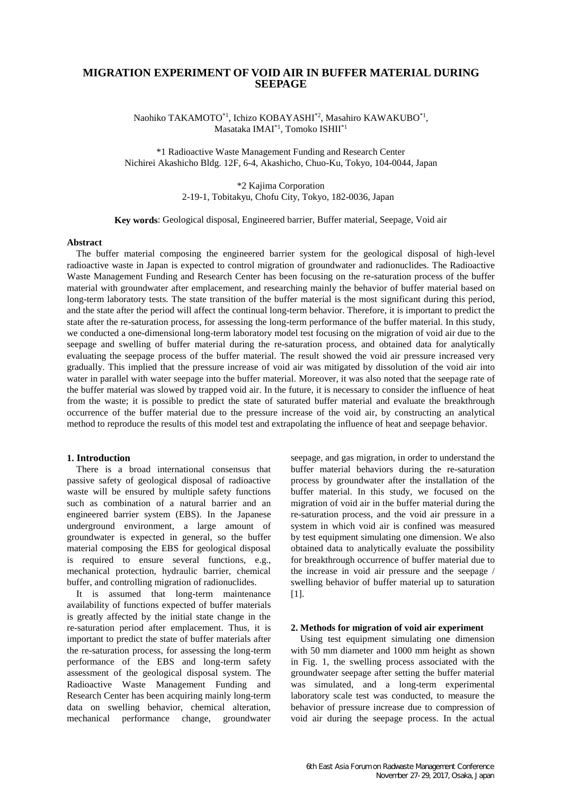# **MIGRATION EXPERIMENT OF VOID AIR IN BUFFER MATERIAL DURING SEEPAGE**

Naohiko TAKAMOTO\*1, Ichizo KOBAYASHI\*2, Masahiro KAWAKUBO\*1 , Masataka IMAI\*1, Tomoko ISHII\*1

\*1 Radioactive Waste Management Funding and Research Center Nichirei Akashicho Bldg. 12F, 6-4, Akashicho, Chuo-Ku, Tokyo, 104-0044, Japan

> \*2 Kajima Corporation 2-19-1, Tobitakyu, Chofu City, Tokyo, 182-0036, Japan

#### **Key words**: Geological disposal, Engineered barrier, Buffer material, Seepage, Void air

## **Abstract**

The buffer material composing the engineered barrier system for the geological disposal of high-level radioactive waste in Japan is expected to control migration of groundwater and radionuclides. The Radioactive Waste Management Funding and Research Center has been focusing on the re-saturation process of the buffer material with groundwater after emplacement, and researching mainly the behavior of buffer material based on long-term laboratory tests. The state transition of the buffer material is the most significant during this period, and the state after the period will affect the continual long-term behavior. Therefore, it is important to predict the state after the re-saturation process, for assessing the long-term performance of the buffer material. In this study, we conducted a one-dimensional long-term laboratory model test focusing on the migration of void air due to the seepage and swelling of buffer material during the re-saturation process, and obtained data for analytically evaluating the seepage process of the buffer material. The result showed the void air pressure increased very gradually. This implied that the pressure increase of void air was mitigated by dissolution of the void air into water in parallel with water seepage into the buffer material. Moreover, it was also noted that the seepage rate of the buffer material was slowed by trapped void air. In the future, it is necessary to consider the influence of heat from the waste; it is possible to predict the state of saturated buffer material and evaluate the breakthrough occurrence of the buffer material due to the pressure increase of the void air, by constructing an analytical method to reproduce the results of this model test and extrapolating the influence of heat and seepage behavior.

# **1. Introduction**

There is a broad international consensus that passive safety of geological disposal of radioactive waste will be ensured by multiple safety functions such as combination of a natural barrier and an engineered barrier system (EBS). In the Japanese underground environment, a large amount of groundwater is expected in general, so the buffer material composing the EBS for geological disposal is required to ensure several functions, e.g., mechanical protection, hydraulic barrier, chemical buffer, and controlling migration of radionuclides.

It is assumed that long-term maintenance availability of functions expected of buffer materials is greatly affected by the initial state change in the re-saturation period after emplacement. Thus, it is important to predict the state of buffer materials after the re-saturation process, for assessing the long-term performance of the EBS and long-term safety assessment of the geological disposal system. The Radioactive Waste Management Funding and Research Center has been acquiring mainly long-term data on swelling behavior, chemical alteration, mechanical performance change, groundwater seepage, and gas migration, in order to understand the buffer material behaviors during the re-saturation process by groundwater after the installation of the buffer material. In this study, we focused on the migration of void air in the buffer material during the re-saturation process, and the void air pressure in a system in which void air is confined was measured by test equipment simulating one dimension. We also obtained data to analytically evaluate the possibility for breakthrough occurrence of buffer material due to the increase in void air pressure and the seepage / swelling behavior of buffer material up to saturation [1].

#### **2. Methods for migration of void air experiment**

Using test equipment simulating one dimension with 50 mm diameter and 1000 mm height as shown in Fig. 1, the swelling process associated with the groundwater seepage after setting the buffer material was simulated, and a long-term experimental laboratory scale test was conducted, to measure the behavior of pressure increase due to compression of void air during the seepage process. In the actual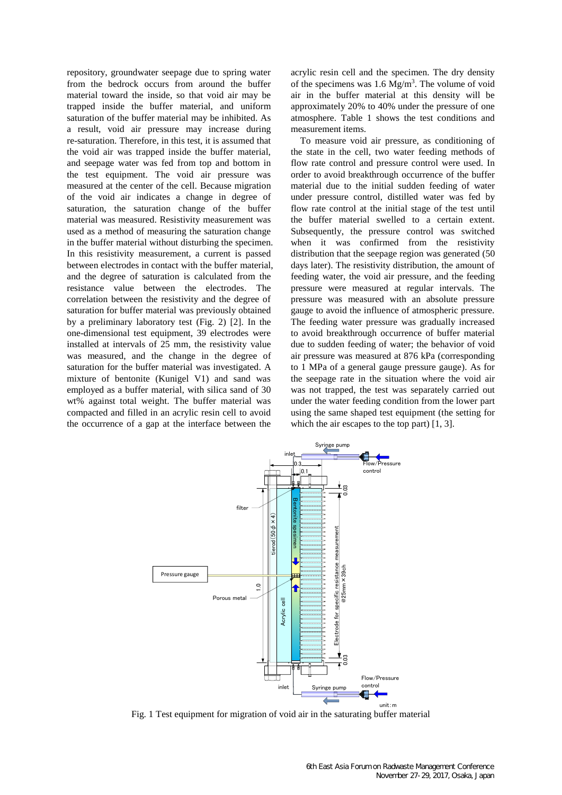repository, groundwater seepage due to spring water from the bedrock occurs from around the buffer material toward the inside, so that void air may be trapped inside the buffer material, and uniform saturation of the buffer material may be inhibited. As a result, void air pressure may increase during re-saturation. Therefore, in this test, it is assumed that the void air was trapped inside the buffer material, and seepage water was fed from top and bottom in the test equipment. The void air pressure was measured at the center of the cell. Because migration of the void air indicates a change in degree of saturation, the saturation change of the buffer material was measured. Resistivity measurement was used as a method of measuring the saturation change in the buffer material without disturbing the specimen. In this resistivity measurement, a current is passed between electrodes in contact with the buffer material, and the degree of saturation is calculated from the resistance value between the electrodes. The correlation between the resistivity and the degree of saturation for buffer material was previously obtained by a preliminary laboratory test (Fig. 2) [2]. In the one-dimensional test equipment, 39 electrodes were installed at intervals of 25 mm, the resistivity value was measured, and the change in the degree of saturation for the buffer material was investigated. A mixture of bentonite (Kunigel V1) and sand was employed as a buffer material, with silica sand of 30 wt% against total weight. The buffer material was compacted and filled in an acrylic resin cell to avoid the occurrence of a gap at the interface between the

acrylic resin cell and the specimen. The dry density of the specimens was  $1.6 \text{ Mg/m}^3$ . The volume of void air in the buffer material at this density will be approximately 20% to 40% under the pressure of one atmosphere. Table 1 shows the test conditions and measurement items.

To measure void air pressure, as conditioning of the state in the cell, two water feeding methods of flow rate control and pressure control were used. In order to avoid breakthrough occurrence of the buffer material due to the initial sudden feeding of water under pressure control, distilled water was fed by flow rate control at the initial stage of the test until the buffer material swelled to a certain extent. Subsequently, the pressure control was switched when it was confirmed from the resistivity distribution that the seepage region was generated  $(50)$ days later). The resistivity distribution, the amount of feeding water, the void air pressure, and the feeding pressure were measured at regular intervals. The pressure was measured with an absolute pressure gauge to avoid the influence of atmospheric pressure. The feeding water pressure was gradually increased to avoid breakthrough occurrence of buffer material due to sudden feeding of water; the behavior of void air pressure was measured at 876 kPa (corresponding to 1 MPa of a general gauge pressure gauge). As for the seepage rate in the situation where the void air was not trapped, the test was separately carried out under the water feeding condition from the lower part using the same shaped test equipment (the setting for which the air escapes to the top part) [1, 3].



Fig. 1 Test equipment for migration of void air in the saturating buffer material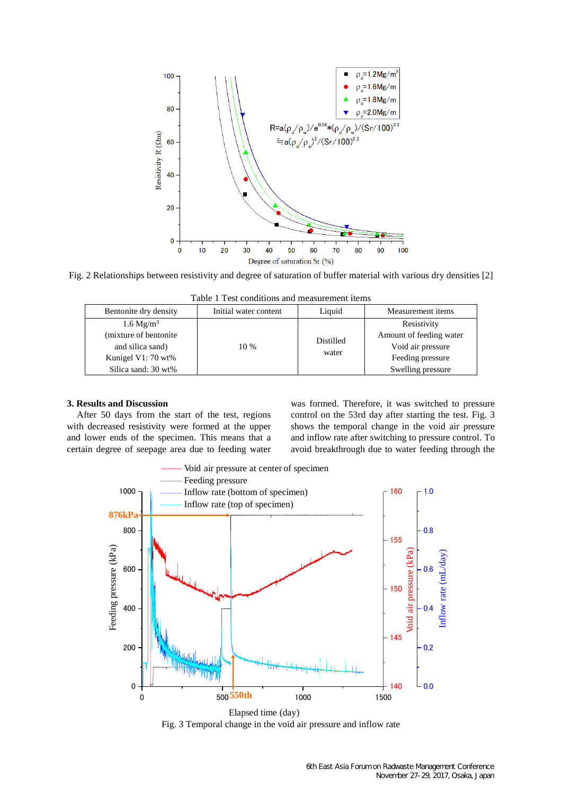

Fig. 2 Relationships between resistivity and degree of saturation of buffer material with various dry densities [2]

| 1 acto 1 - 1 col contribution and model chichi itemp |                       |                    |                         |
|------------------------------------------------------|-----------------------|--------------------|-------------------------|
| Bentonite dry density                                | Initial water content | Liquid             | Measurement items       |
| $1.6 \text{ Mg/m}^3$                                 | $10\%$                | Distilled<br>water | Resistivity             |
| (mixture of bentonite)                               |                       |                    | Amount of feeding water |
| and silica sand)                                     |                       |                    | Void air pressure       |
| Kunigel V1: 70 wt%                                   |                       |                    | Feeding pressure        |
| Silica sand: 30 wt%                                  |                       |                    | Swelling pressure       |

Table 1 Test conditions and measurement items

#### **3. Results and Discussion**

After 50 days from the start of the test, regions with decreased resistivity were formed at the upper and lower ends of the specimen. This means that a certain degree of seepage area due to feeding water was formed. Therefore, it was switched to pressure control on the 53rd day after starting the test. Fig. 3 shows the temporal change in the void air pressure and inflow rate after switching to pressure control. To avoid breakthrough due to water feeding through the



Fig. 3 Temporal change in the void air pressure and inflow rate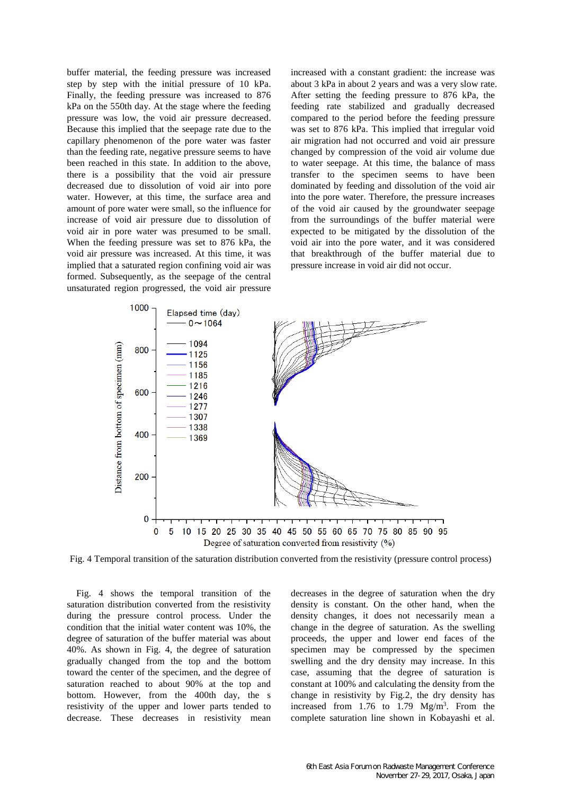buffer material, the feeding pressure was increased step by step with the initial pressure of 10 kPa. Finally, the feeding pressure was increased to 876 kPa on the 550th day. At the stage where the feeding pressure was low, the void air pressure decreased. Because this implied that the seepage rate due to the capillary phenomenon of the pore water was faster than the feeding rate, negative pressure seems to have been reached in this state. In addition to the above, there is a possibility that the void air pressure decreased due to dissolution of void air into pore water. However, at this time, the surface area and amount of pore water were small, so the influence for increase of void air pressure due to dissolution of void air in pore water was presumed to be small. When the feeding pressure was set to 876 kPa, the void air pressure was increased. At this time, it was implied that a saturated region confining void air was formed. Subsequently, as the seepage of the central unsaturated region progressed, the void air pressure increased with a constant gradient: the increase was about 3 kPa in about 2 years and was a very slow rate. After setting the feeding pressure to 876 kPa, the feeding rate stabilized and gradually decreased compared to the period before the feeding pressure was set to 876 kPa. This implied that irregular void air migration had not occurred and void air pressure changed by compression of the void air volume due to water seepage. At this time, the balance of mass transfer to the specimen seems to have been dominated by feeding and dissolution of the void air into the pore water. Therefore, the pressure increases of the void air caused by the groundwater seepage from the surroundings of the buffer material were expected to be mitigated by the dissolution of the void air into the pore water, and it was considered that breakthrough of the buffer material due to pressure increase in void air did not occur.



Fig. 4 Temporal transition of the saturation distribution converted from the resistivity (pressure control process)

Fig. 4 shows the temporal transition of the saturation distribution converted from the resistivity during the pressure control process. Under the condition that the initial water content was 10%, the degree of saturation of the buffer material was about 40%. As shown in Fig. 4, the degree of saturation gradually changed from the top and the bottom toward the center of the specimen, and the degree of saturation reached to about 90% at the top and bottom. However, from the 400th day, the s resistivity of the upper and lower parts tended to decrease. These decreases in resistivity mean

decreases in the degree of saturation when the dry density is constant. On the other hand, when the density changes, it does not necessarily mean a change in the degree of saturation. As the swelling proceeds, the upper and lower end faces of the specimen may be compressed by the specimen swelling and the dry density may increase. In this case, assuming that the degree of saturation is constant at 100% and calculating the density from the change in resistivity by Fig.2, the dry density has increased from  $1.76$  to  $1.79$  Mg/m<sup>3</sup>. From the complete saturation line shown in Kobayashi et al.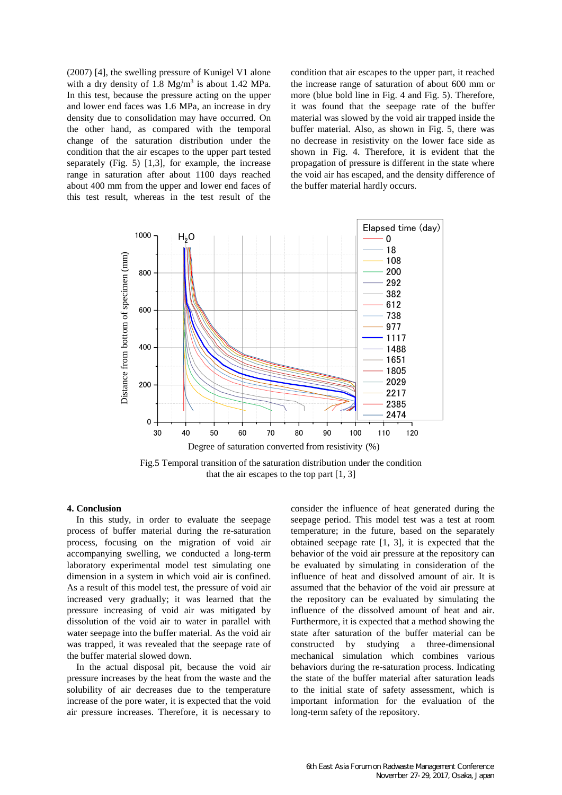(2007) [4], the swelling pressure of Kunigel V1 alone with a dry density of  $1.8 \text{ Mg/m}^3$  is about  $1.42 \text{ MPa}$ . In this test, because the pressure acting on the upper and lower end faces was 1.6 MPa, an increase in dry density due to consolidation may have occurred. On the other hand, as compared with the temporal change of the saturation distribution under the condition that the air escapes to the upper part tested separately (Fig. 5) [1,3], for example, the increase range in saturation after about 1100 days reached about 400 mm from the upper and lower end faces of this test result, whereas in the test result of the

condition that air escapes to the upper part, it reached the increase range of saturation of about 600 mm or more (blue bold line in Fig. 4 and Fig. 5). Therefore, it was found that the seepage rate of the buffer material was slowed by the void air trapped inside the buffer material. Also, as shown in Fig. 5, there was no decrease in resistivity on the lower face side as shown in Fig. 4. Therefore, it is evident that the propagation of pressure is different in the state where the void air has escaped, and the density difference of the buffer material hardly occurs.



that the air escapes to the top part [1, 3]

## **4. Conclusion**

In this study, in order to evaluate the seepage process of buffer material during the re-saturation process, focusing on the migration of void air accompanying swelling, we conducted a long-term laboratory experimental model test simulating one dimension in a system in which void air is confined. As a result of this model test, the pressure of void air increased very gradually; it was learned that the pressure increasing of void air was mitigated by dissolution of the void air to water in parallel with water seepage into the buffer material. As the void air was trapped, it was revealed that the seepage rate of the buffer material slowed down.

In the actual disposal pit, because the void air pressure increases by the heat from the waste and the solubility of air decreases due to the temperature increase of the pore water, it is expected that the void air pressure increases. Therefore, it is necessary to consider the influence of heat generated during the seepage period. This model test was a test at room temperature; in the future, based on the separately obtained seepage rate [1, 3], it is expected that the behavior of the void air pressure at the repository can be evaluated by simulating in consideration of the influence of heat and dissolved amount of air. It is assumed that the behavior of the void air pressure at the repository can be evaluated by simulating the influence of the dissolved amount of heat and air. Furthermore, it is expected that a method showing the state after saturation of the buffer material can be constructed by studying a three-dimensional mechanical simulation which combines various behaviors during the re-saturation process. Indicating the state of the buffer material after saturation leads to the initial state of safety assessment, which is important information for the evaluation of the long-term safety of the repository.